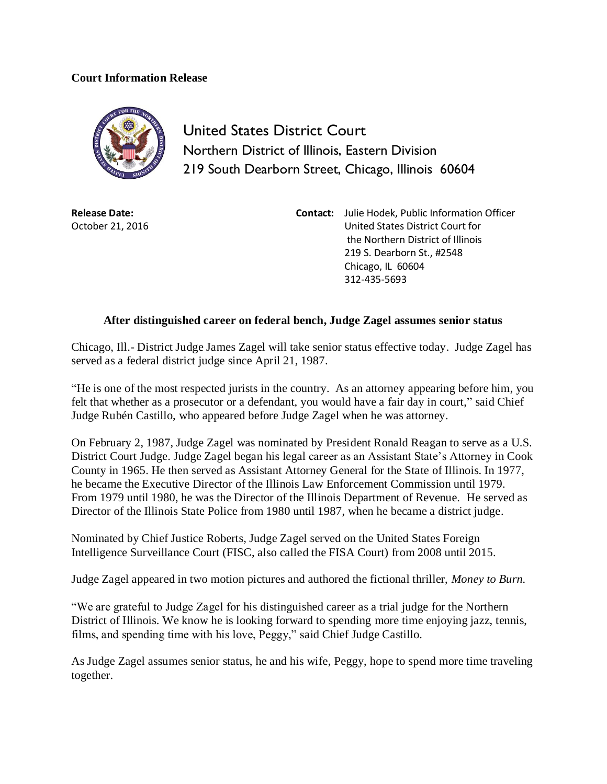## **Court Information Release**



United States District Court Northern District of Illinois, Eastern Division 219 South Dearborn Street, Chicago, Illinois 60604

**Release Date:** October 21, 2016 **Contact:** Julie Hodek, Public Information Officer United States District Court for the Northern District of Illinois 219 S. Dearborn St., #2548 Chicago, IL 60604 312-435-5693

## **After distinguished career on federal bench, Judge Zagel assumes senior status**

Chicago, Ill.- District Judge James Zagel will take senior status effective today. Judge Zagel has served as a federal district judge since April 21, 1987.

"He is one of the most respected jurists in the country. As an attorney appearing before him, you felt that whether as a prosecutor or a defendant, you would have a fair day in court," said Chief Judge Rubén Castillo, who appeared before Judge Zagel when he was attorney.

On February 2, 1987, Judge Zagel was nominated by President Ronald Reagan to serve as a U.S. District Court Judge. Judge Zagel began his legal career as an Assistant State's Attorney in Cook County in 1965. He then served as Assistant Attorney General for the State of Illinois. In 1977, he became the Executive Director of the Illinois Law Enforcement Commission until 1979. From 1979 until 1980, he was the Director of the Illinois Department of Revenue. He served as Director of the Illinois State Police from 1980 until 1987, when he became a district judge.

Nominated by Chief Justice Roberts, Judge Zagel served on the United States Foreign Intelligence Surveillance Court (FISC, also called the FISA Court) from 2008 until 2015.

Judge Zagel appeared in two motion pictures and authored the fictional thriller, *Money to Burn.*

"We are grateful to Judge Zagel for his distinguished career as a trial judge for the Northern District of Illinois. We know he is looking forward to spending more time enjoying jazz, tennis, films, and spending time with his love, Peggy," said Chief Judge Castillo.

As Judge Zagel assumes senior status, he and his wife, Peggy, hope to spend more time traveling together.